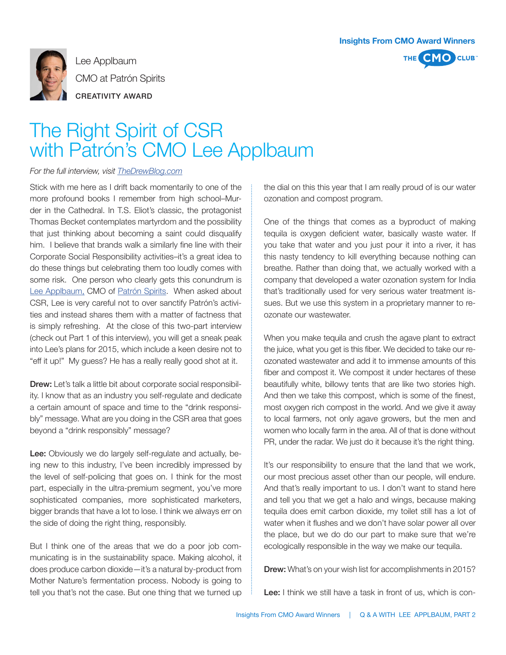



Lee Applbaum CMO at Patrón Spirits CREATIVITY AWARD

## The Right Spirit of CSR with Patrón's CMO Lee Applbaum

## *For the full interview, visit TheDrewBlog.com*

Stick with me here as I drift back momentarily to one of the more profound books I remember from high school–Murder in the Cathedral. In T.S. Eliot's classic, the protagonist Thomas Becket contemplates martyrdom and the possibility that just thinking about becoming a saint could disqualify him. I believe that brands walk a similarly fine line with their Corporate Social Responsibility activities–it's a great idea to do these things but celebrating them too loudly comes with some risk. One person who clearly gets this conundrum is Lee Applbaum, CMO of Patrón Spirits. When asked about CSR, Lee is very careful not to over sanctify Patrón's activities and instead shares them with a matter of factness that is simply refreshing. At the close of this two-part interview (check out Part 1 of this interview), you will get a sneak peak into Lee's plans for 2015, which include a keen desire not to "eff it up!" My guess? He has a really really good shot at it.

**Drew:** Let's talk a little bit about corporate social responsibility. I know that as an industry you self-regulate and dedicate a certain amount of space and time to the "drink responsibly" message. What are you doing in the CSR area that goes beyond a "drink responsibly" message?

Lee: Obviously we do largely self-regulate and actually, being new to this industry, I've been incredibly impressed by the level of self-policing that goes on. I think for the most part, especially in the ultra-premium segment, you've more sophisticated companies, more sophisticated marketers, bigger brands that have a lot to lose. I think we always err on the side of doing the right thing, responsibly.

But I think one of the areas that we do a poor job communicating is in the sustainability space. Making alcohol, it does produce carbon dioxide—it's a natural by-product from Mother Nature's fermentation process. Nobody is going to tell you that's not the case. But one thing that we turned up

the dial on this this year that I am really proud of is our water ozonation and compost program.

One of the things that comes as a byproduct of making tequila is oxygen deficient water, basically waste water. If you take that water and you just pour it into a river, it has this nasty tendency to kill everything because nothing can breathe. Rather than doing that, we actually worked with a company that developed a water ozonation system for India that's traditionally used for very serious water treatment issues. But we use this system in a proprietary manner to reozonate our wastewater.

When you make tequila and crush the agave plant to extract the juice, what you get is this fiber. We decided to take our reozonated wastewater and add it to immense amounts of this fiber and compost it. We compost it under hectares of these beautifully white, billowy tents that are like two stories high. And then we take this compost, which is some of the finest, most oxygen rich compost in the world. And we give it away to local farmers, not only agave growers, but the men and women who locally farm in the area. All of that is done without PR, under the radar. We just do it because it's the right thing.

It's our responsibility to ensure that the land that we work, our most precious asset other than our people, will endure. And that's really important to us. I don't want to stand here and tell you that we get a halo and wings, because making tequila does emit carbon dioxide, my toilet still has a lot of water when it flushes and we don't have solar power all over the place, but we do do our part to make sure that we're ecologically responsible in the way we make our tequila.

Drew: What's on your wish list for accomplishments in 2015?

Lee: I think we still have a task in front of us, which is con-